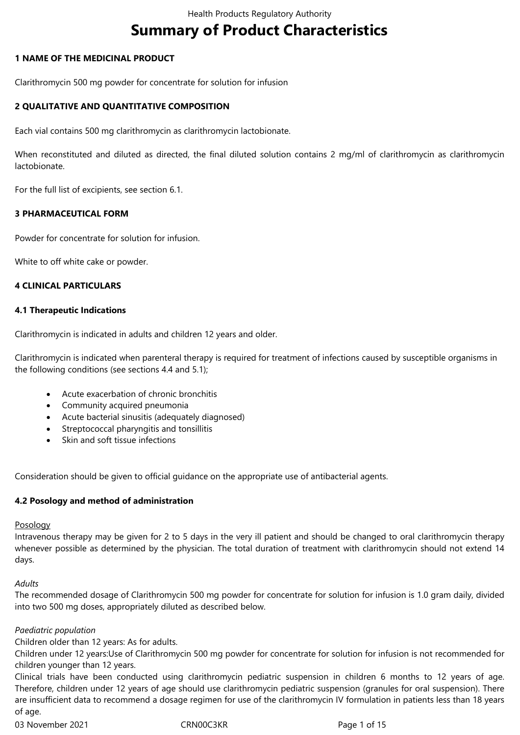# **Summary of Product Characteristics**

### **1 NAME OF THE MEDICINAL PRODUCT**

Clarithromycin,500,mg, powder, for, concentrate, for, solution, for, infusion

### **2 QUALITATIVE AND QUANTITATIVE COMPOSITION**

Each vial contains 500 mg clarithromycin as clarithromycin lactobionate.

When reconstituted and diluted as directed, the final diluted solution contains 2 mg/ml of clarithromycin as clarithromycin lactobionate.

For the full list of excipients, see section 6.1.

### **3 PHARMACEUTICAL FORM**

Powder for concentrate for solution for infusion.

White to off white cake or powder.

#### **4 CLINICAL PARTICULARS**

#### **4.1 Therapeutic Indications**

Clarithromycin is indicated in adults and children 12 years and older.

Clarithromycin is indicated when parenteral therapy is required for treatment of infections caused by susceptible organisms in the following conditions (see sections 4.4 and 5.1);

- Acute exacerbation of chronic bronchitis
- Community acquired pneumonia
- Acute bacterial sinusitis (adequately diagnosed)
- Streptococcal pharyngitis and tonsillitis
- Skin and soft tissue infections

Consideration, should, be given to official guidance on the appropriate use of antibacterial agents.

#### **4.2 Posology and method of administration**

#### **Posology**

Intravenous therapy may be given for 2 to 5 days in the very ill patient and should be changed to oral clarithromycin therapy whenever possible as determined by the physician. The total duration of treatment with clarithromycin should not extend 14 days.

#### *Adults*

The recommended dosage of Clarithromycin 500 mg powder for concentrate for solution for infusion is 1.0 gram daily, divided into two,500,mg,doses, appropriately diluted as described below.

#### *Paediatric population*

Children older than 12 years: As for adults.

Children under 12 years:Use of Clarithromycin 500 mg powder for concentrate for solution for infusion is not recommended for children younger than 12 years.

Clinical trials have been conducted using clarithromycin pediatric suspension in children 6 months to 12 years of age. Therefore, children under 12 years of age should use clarithromycin pediatric suspension (granules for oral suspension). There are insufficient data to recommend a dosage regimen for use of the clarithromycin IV formulation in patients less than 18 years of age.

03 November 2021 CRN00C3KR Page 1 of 15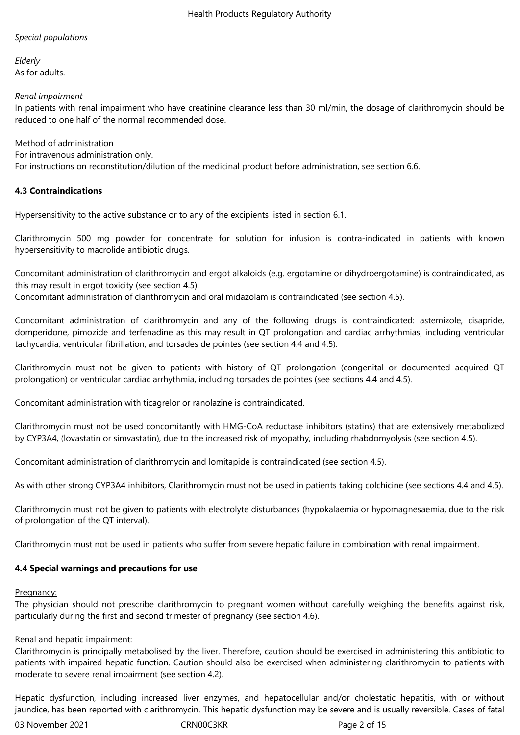### *Special populations*

*Elderly* As for adults.

### *Renal impairment*

In patients with renal impairment who have creatinine clearance less than 30 ml/min, the dosage of clarithromycin should be reduced to one half of the normal recommended dose.

### Method of administration

For intravenous administration only.

For instructions on reconstitution/dilution of the medicinal product before administration, see section 6.6.

### **4.3 Contraindications**

Hypersensitivity to the active substance or to any of the excipients listed in section 6.1.

Clarithromycin 500 mg powder for concentrate for solution for infusion is contra-indicated in patients with known hypersensitivity to macrolide antibiotic drugs.

Concomitant administration of clarithromycin and ergot alkaloids (e.g. ergotamine or dihydroergotamine) is contraindicated, as this may result in ergot toxicity (see section 4.5).

Concomitant administration of clarithromycin and oral midazolam is contraindicated (see section 4.5).

Concomitant administration of clarithromycin and any of the following drugs is contraindicated: astemizole, cisapride, domperidone, pimozide and terfenadine as this may result in QT prolongation and cardiac arrhythmias, including ventricular tachycardia, ventricular fibrillation, and torsades de pointes (see section 4.4 and 4.5).

Clarithromycin must not be given to patients with history of QT prolongation (congenital or documented acquired QT prolongation) or ventricular cardiac arrhythmia, including torsades de pointes (see sections 4.4 and 4.5).

Concomitant administration with ticagrelor or ranolazine is contraindicated.

Clarithromycin must not be used concomitantly with HMG-CoA reductase inhibitors (statins) that are extensively metabolized by CYP3A4, (lovastatin or simvastatin), due to the increased risk of myopathy, including rhabdomyolysis (see section 4.5).

Concomitant administration of clarithromycin and lomitapide is contraindicated (see section 4.5).

As with other strong CYP3A4 inhibitors, Clarithromycin must not be used in patients taking colchicine (see sections 4.4 and 4.5).

Clarithromycin must not be given to patients with electrolyte disturbances (hypokalaemia or hypomagnesaemia, due to the risk of prolongation of the QT interval).

Clarithromycin must not be used in patients who suffer from severe hepatic failure in combination with renal impairment.

### **4.4 Special warnings and precautions for use**

#### Pregnancy:

The physician should not prescribe clarithromycin to pregnant women without carefully weighing the benefits against risk, particularly,during,the,first,and,second,trimester,of,pregnancy (see,section,4.6).

### Renal and hepatic impairment:

Clarithromycin is principally metabolised by the liver. Therefore, caution should be exercised in administering this antibiotic to patients with impaired hepatic function. Caution should also be exercised when administering clarithromycin to patients with moderate to severe renal impairment (see section 4.2).

Hepatic dysfunction, including increased liver enzymes, and hepatocellular and/or cholestatic hepatitis, with or without jaundice, has been reported with clarithromycin. This hepatic dysfunction may be severe and is usually reversible. Cases of fatal

03 November 2021 **CRN00C3KR** Page 2 of 15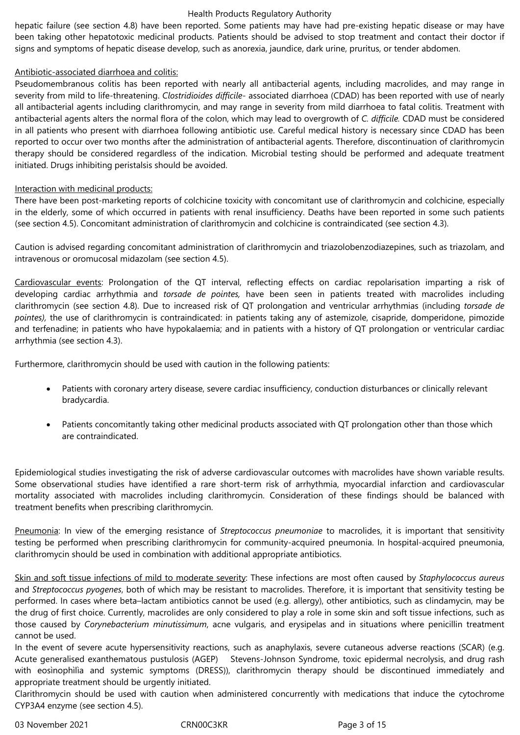hepatic failure (see section 4.8) have been reported. Some patients may have had pre-existing hepatic disease or may have been taking other hepatotoxic medicinal products. Patients should be advised to stop treatment and contact their doctor if signs and symptoms of hepatic disease develop, such as anorexia, jaundice, dark urine, pruritus, or tender abdomen.

### Antibiotic-associated diarrhoea and colitis:

Pseudomembranous colitis has been reported with nearly all antibacterial agents, including macrolides, and may range in severity from mild to life-threatening. *Clostridioides difficile-* associated diarrhoea (CDAD) has been reported with use of nearly all antibacterial agents including clarithromycin, and may range in severity from mild diarrhoea to fatal colitis. Treatment with antibacterial agents alters the normal flora of the colon, which may lead to overgrowth of *C. difficile.* CDAD must be considered in all patients who present with diarrhoea following antibiotic use. Careful medical history is necessary since CDAD has been reported to occur over two months after the administration of antibacterial agents. Therefore, discontinuation of clarithromycin therapy should be considered regardless of the indication. Microbial testing should be performed and adequate treatment initiated. Drugs inhibiting peristalsis should be avoided.

### Interaction with medicinal products:

There have been post-marketing reports of colchicine toxicity with concomitant use of clarithromycin and colchicine, especially in the elderly, some of which occurred in patients with renal insufficiency. Deaths have been reported in some such patients (see section 4.5). Concomitant administration of clarithromycin and colchicine is contraindicated (see section 4.3).

Caution is advised regarding concomitant administration of clarithromycin and triazolobenzodiazepines, such as triazolam, and intravenous or oromucosal midazolam (see section 4.5).

Cardiovascular events: Prolongation of the QT interval, reflecting effects on cardiac repolarisation imparting a risk of developing cardiac arrhythmia and *torsade de pointes,* have been seen in patients treated with macrolides including clarithromycin (see section 4.8). Due to increased risk of QT prolongation and ventricular arrhythmias (including *torsade de pointes),* the use of clarithromycin is contraindicated: in patients taking any of astemizole, cisapride, domperidone, pimozide and terfenadine; in patients who have hypokalaemia; and in patients with a history of QT prolongation or ventricular cardiac arrhythmia (see section 4.3).

Furthermore, clarithromycin should be used with caution in the following patients:

- Patients with coronary artery disease, severe cardiac insufficiency, conduction disturbances or clinically relevant bradycardia.
- Patients, concomitantly, taking, other, medicinal, products, associated, with, QT, prolongation, other, than, those, which, are contraindicated.

Epidemiological studies investigating the risk of adverse cardiovascular outcomes with macrolides have shown variable results. Some observational studies have identified a rare short-term risk of arrhythmia, myocardial infarction and cardiovascular mortality associated with macrolides including clarithromycin. Consideration of these findings should be balanced with treatment benefits when prescribing clarithromycin.

Pneumonia: In view of the emerging resistance of *Streptococcus pneumoniae* to macrolides, it is important that sensitivity testing be performed when prescribing clarithromycin for community-acquired pneumonia. In hospital-acquired pneumonia, clarithromycin should be used in combination with additional appropriate antibiotics.

Skin and soft tissue infections of mild to moderate severity: These infections are most often caused by *Staphylococcus aureus* and *Streptococcus pyogenes*, both of which may be resistant to macrolides. Therefore, it is important that sensitivity testing be performed. In cases where beta–lactam antibiotics cannot be used (e.g. allergy), other antibiotics, such as clindamycin, may be the drug of first choice. Currently, macrolides are only considered to play a role in some skin and soft tissue infections, such as those caused by *Corynebacterium minutissimum*, acne vulgaris, and erysipelas and in situations where penicillin treatment cannot be used.

In the event of severe acute hypersensitivity reactions, such as anaphylaxis, severe cutaneous adverse reactions (SCAR) (e.g. Acute generalised exanthematous pustulosis (AGEP) Stevens-Johnson Syndrome, toxic epidermal necrolysis, and drug rash with eosìnophìlìa and systemic symptoms (DRESS)), clarithromycin therapy should be discontinued immediately and appropriate treatment should be urgently initiated.

Clarithromycin should be used with caution when administered concurrently with medications that induce the cytochrome CYP3A4 enzyme (see section 4.5).

03 November 2021 **CRN00C3KR** Page 3 of 15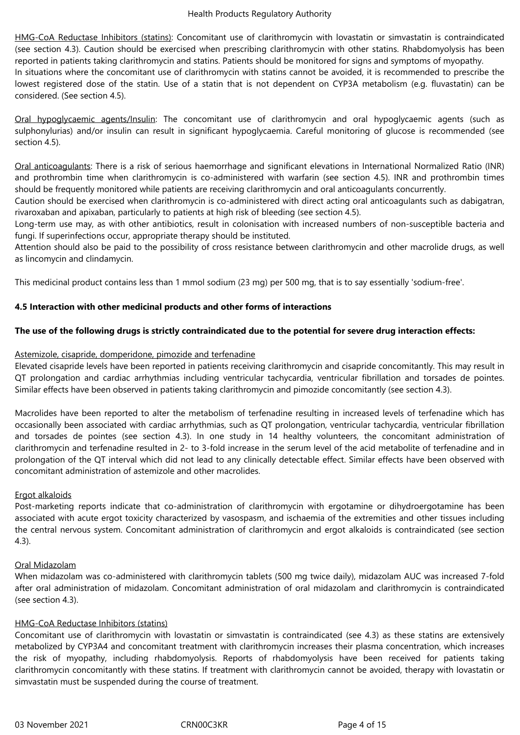HMG-CoA Reductase Inhibitors (statins): Concomitant use of clarithromycin with lovastatin or simvastatin is contraindicated (see section 4.3). Caution should be exercised when prescribing clarithromycin with other statins. Rhabdomyolysis has been reported in patients taking clarithromycin and statins. Patients should be monitored for signs and symptoms of myopathy. In situations where the concomitant use of clarithromycin with statins cannot be avoided, it is recommended to prescribe the lowest registered dose of the statin. Use of a statin that is not dependent on CYP3A metabolism (e.g. fluvastatin) can be considered. (See section 4.5).

Oral hypoglycaemic agents/Insulin: The concomitant use of clarithromycin and oral hypoglycaemic agents (such as sulphonylurias) and/or insulin can result in significant hypoglycaemia. Careful monitoring of glucose is recommended (see section 4.5).

Oral anticoagulants: There is a risk of serious haemorrhage and significant elevations in International Normalized Ratio (INR) and prothrombin time when clarithromycin is co-administered with warfarin (see section 4.5). INR and prothrombin times should,be,frequently,monitored,while,patients,are,receiving,clarithromycin,and,oral,anticoagulants,concurrently.

Caution should be exercised when clarithromycin is co-administered with direct acting oral anticoagulants such as dabigatran, rivaroxaban and apixaban, particularly to patients at high risk of bleeding (see section 4.5).

Long-term use may, as with other antibiotics, result in colonisation with increased numbers of non-susceptible bacteria and fungi. If superinfections occur, appropriate therapy should be instituted.

Attention should also be paid to the possibility of cross resistance between clarithromycin and other macrolide drugs, as well as lincomycin and clindamycin.

This,medicinal,product contains, less than, 1, mmol, sodium (23, mg), per, 500, mg, that, is, to, say, essentially, 'sodium-free'.

### **4.5 Interaction with other medicinal products and other forms of interactions**

### **The use of the following drugs is strictly contraindicated due to the potential for severe drug interaction effects:**

### Astemizole, cisapride, domperidone, pimozide and terfenadine

Elevated cisapride levels have been reported in patients receiving clarithromycin and cisapride concomitantly. This may result in QT prolongation and cardiac arrhythmias including ventricular tachycardia, ventricular fibrillation and torsades de pointes. Similar, effects, have been, observed, in, patients, taking, clarithromycin, and, pimozide, concomitantly (see, section, 4.3).

Macrolides have been reported to alter the metabolism of terfenadine resulting in increased levels of terfenadine which has occasionally been associated with cardiac arrhythmias, such as QT prolongation, ventricular tachycardia, ventricular fibrillation and torsades de pointes (see section 4.3). In one study in 14 healthy volunteers, the concomitant administration of clarithromycin and terfenadine resulted in 2- to 3-fold increase in the serum level of the acid metabolite of terfenadine and in prolongation of the QT interval which did not lead to any clinically detectable effect. Similar effects have been observed with concomitant administration of astemizole and other macrolides.

### Ergot alkaloids

Post-marketing reports indicate that co-administration of clarithromycin with ergotamine or dihydroergotamine has been associated with acute ergot toxicity characterized by vasospasm, and ischaemia of the extremities and other tissues including the central nervous system. Concomitant administration of clarithromycin and ergot alkaloids is contraindicated (see section 4.3).

#### Oral Midazolam

When midazolam was co-administered with clarithromycin tablets (500 mg twice daily), midazolam AUC was increased 7-fold after oral administration of midazolam. Concomitant administration of oral midazolam and clarithromycin is contraindicated (see section 4.3).

### HMG-CoA Reductase Inhibitors (statins)

Concomitant use of clarithromycin with lovastatin or simvastatin is contraindicated (see 4.3) as these statins are extensively metabolized by CYP3A4 and concomitant treatment with clarithromycin increases their plasma concentration, which increases the risk of myopathy, including rhabdomyolysis. Reports of rhabdomyolysis have been received for patients taking clarithromycin concomitantly with these statins. If treatment with clarithromycin cannot be avoided, therapy with lovastatin or simvastatin must be suspended during the course of treatment.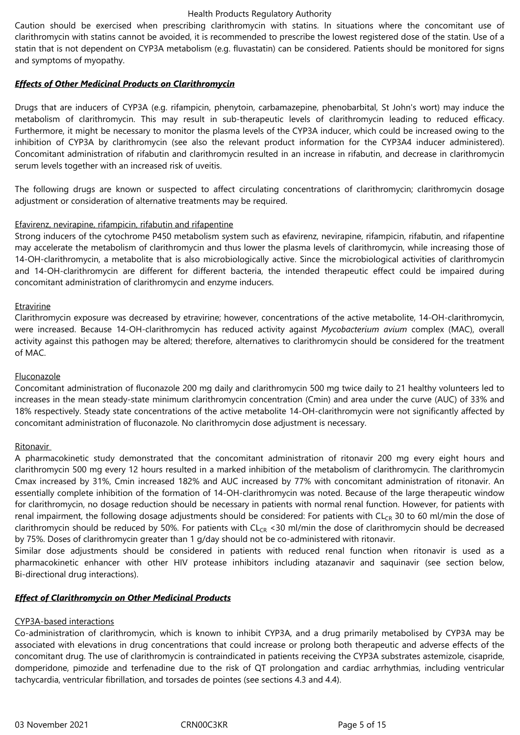Caution should be exercised when prescribing clarithromycin with statins. In situations where the concomitant use of clarithromycin with statins cannot be avoided, it is recommended to prescribe the lowest registered dose of the statin. Use of a statin that is not dependent on CYP3A metabolism (e.g. fluvastatin) can be considered. Patients should be monitored for signs and symptoms of myopathy.

### *Effects of Other Medicinal Products on Clarithromycin*

Drugs that are inducers of CYP3A (e.g. rifampicin, phenytoin, carbamazepine, phenobarbital, St John's wort) may induce the metabolism of clarithromycin. This may result in sub-therapeutic levels of clarithromycin leading to reduced efficacy. Furthermore, it might be necessary to monitor the plasma levels of the CYP3A inducer, which could be increased owing to the inhibition of CYP3A by clarithromycin (see also the relevant product information for the CYP3A4 inducer administered). Concomitant administration of rifabutin and clarithromycin resulted in an increase in rifabutin, and decrease in clarithromycin serum levels together with an increased risk of uveitis.

The following drugs are known or suspected to affect circulating concentrations of clarithromycin; clarithromycin dosage adjustment or consideration of alternative treatments may be required.

### Efavirenz, nevirapine, rifampicin, rifabutin and rifapentine

Strong inducers of the cytochrome P450 metabolism system such as efavirenz, nevirapine, rifampicin, rifabutin, and rifapentine may accelerate the metabolism of clarithromycin and thus lower the plasma levels of clarithromycin, while increasing those of 14-OH-clarithromycin, a metabolite that is also microbiologically active. Since the microbiological activities of clarithromycin and 14-OH-clarithromycin are different for different bacteria, the intended therapeutic effect could be impaired during concomitant administration of clarithromycin and enzyme inducers.

### Etravirine

Clarithromycin exposure was decreased by etravirine; however, concentrations of the active metabolite, 14-OH-clarithromycin, were increased. Because 14-OH-clarithromycin has reduced activity against *Mycobacterium avium* complex (MAC), overall activity against this pathogen may be altered; therefore, alternatives to clarithromycin should be considered for the treatment of MAC.

#### Fluconazole

Concomitant administration of fluconazole 200 mg daily and clarithromycin 500 mg twice daily to 21 healthy volunteers led to increases in the mean steady-state minimum clarithromycin concentration (Cmin) and area under the curve (AUC) of 33% and 18% respectively. Steady state concentrations of the active metabolite 14-OH-clarithromycin were not significantly affected by concomitant administration of fluconazole. No clarithromycin dose adjustment is necessary.

#### Ritonavir

A pharmacokinetic study demonstrated that the concomitant administration of ritonavir 200 mg every eight hours and clarithromycin 500 mg every 12 hours resulted in a marked inhibition of the metabolism of clarithromycin. The clarithromycin Cmax increased by 31%, Cmin increased 182% and AUC increased by 77% with concomitant administration of ritonavir. An essentially complete inhibition of the formation of 14-OH-clarithromycin was noted. Because of the large therapeutic window for clarithromycin, no dosage reduction should be necessary in patients with normal renal function. However, for patients with renal impairment, the following dosage adjustments should be considered: For patients with  $CL_{CR}$  30 to 60 ml/min the dose of clarithromycin should be reduced by 50%. For patients with  $CL_{CR}$  <30 ml/min the dose of clarithromycin should be decreased by 75%. Doses of clarithromycin greater than 1 g/day should not be co-administered with ritonavir.

Similar dose adjustments should be considered in patients with reduced renal function when ritonavir is used as a pharmacokinetic enhancer with other HIV protease inhibitors including atazanavir and saquinavir (see section below, Bi-directional drug interactions).

### *Effect of Clarithromycin on Other Medicinal Products*

### CYP3A-based interactions

Co-administration of clarithromycin, which is known to inhibit CYP3A, and a drug primarily metabolised by CYP3A may be associated with elevations in drug concentrations that could increase or prolong both therapeutic and adverse effects of the concomitant drug. The use of clarithromycin is contraindicated in patients receiving the CYP3A substrates astemizole, cisapride, domperidone, pimozide and terfenadine due to the risk of QT prolongation and cardiac arrhythmias, including ventricular tachycardia, ventricular fibrillation, and torsades de pointes (see sections 4.3 and 4.4).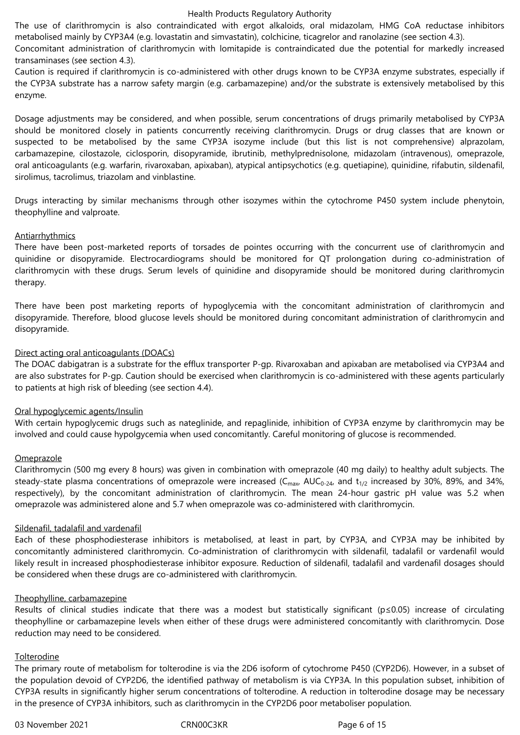The use of clarithromycin is also contraindicated with ergot alkaloids, oral midazolam, HMG CoA reductase inhibitors metabolised mainly by CYP3A4 (e.g. lovastatin and simvastatin), colchicine, ticagrelor and ranolazine (see section 4.3).

Concomitant administration of clarithromycin with lomitapide is contraindicated due the potential for markedly increased transaminases (see section 4.3).

Caution is required if clarithromycin is co-administered with other drugs known to be CYP3A enzyme substrates, especially if the CYP3A substrate has a narrow safety margin (e.g. carbamazepine) and/or the substrate is extensively metabolised by this enzyme.

Dosage adjustments may be considered, and when possible, serum concentrations of drugs primarily metabolised by CYP3A should be monitored closely in patients concurrently receiving clarithromycin. Drugs or drug classes that are known or suspected to be metabolised by the same CYP3A isozyme include (but this list is not comprehensive) alprazolam, carbamazepine, cilostazole, ciclosporin, disopyramide, ibrutinib, methylprednisolone, midazolam (intravenous), omeprazole, oral anticoagulants (e.g. warfarin, rivaroxaban, apixaban), atypical antipsychotics (e.g. quetiapine), quinidine, rifabutin, sildenafil, sirolimus, tacrolimus, triazolam and vinblastine.

Drugs interacting by similar mechanisms through other isozymes within the cytochrome P450 system include phenytoin, theophylline and valproate.

### **Antiarrhythmics**

There have been post-marketed reports of torsades de pointes occurring with the concurrent use of clarithromycin and quinidine or disopyramide. Electrocardiograms should be monitored for QT prolongation during co-administration of clarithromycin with these drugs. Serum levels of quinidine and disopyramide should be monitored during clarithromycin therapy.

There have been post marketing reports of hypoglycemia with the concomitant administration of clarithromycin and disopyramide. Therefore, blood glucose levels should be monitored during concomitant administration of clarithromycin and disopyramide.

### Direct acting oral anticoagulants (DOACs)

The DOAC dabigatran is a substrate for the efflux transporter P-gp. Rivaroxaban and apixaban are metabolised via CYP3A4 and are also substrates for P-gp. Caution should be exercised when clarithromycin is co-administered with these agents particularly to patients at high risk of bleeding (see section 4.4).

### Oral hypoglycemic agents/Insulin

With certain hypoglycemic drugs such as nateglinide, and repaglinide, inhibition of CYP3A enzyme by clarithromycin may be involved and could cause hypolgycemia when used concomitantly. Careful monitoring of glucose is recommended.

#### **Omeprazole**

Clarithromycin (500 mg every 8 hours) was given in combination with omeprazole (40 mg daily) to healthy adult subjects. The steady-state plasma concentrations of omeprazole were increased ( $C_{\text{max}}$ , AU $C_{0-24}$ , and  $t_{1/2}$  increased by 30%, 89%, and 34%, respectively), by the concomitant administration of clarithromycin. The mean 24-hour gastric pH value was 5.2 when omeprazole was administered alone and 5.7 when omeprazole was co-administered with clarithromycin.

#### Sildenafil, tadalafil and vardenafil

Each of these phosphodiesterase inhibitors is metabolised, at least in part, by CYP3A, and CYP3A may be inhibited by concomitantly administered clarithromycin. Co-administration of clarithromycin with sildenafil, tadalafil or vardenafil would likely result in increased phosphodiesterase inhibitor exposure. Reduction of sildenafil, tadalafil and vardenafil dosages should be considered when these drugs are co-administered with clarithromycin.

#### Theophylline, carbamazepine

Results of clinical studies indicate that there was a modest but statistically significant (p≤0.05) increase of circulating theophylline or carbamazepine levels when either of these drugs were administered concomitantly with clarithromycin. Dose reduction may need to be considered.

#### Tolterodine

The primary route of metabolism for tolterodine is via the 2D6 isoform of cytochrome P450 (CYP2D6). However, in a subset of the population devoid of CYP2D6, the identified pathway of metabolism is via CYP3A. In this population subset, inhibition of CYP3A results in significantly higher serum concentrations of tolterodine. A reduction in tolterodine dosage may be necessary in, the presence of CYP3A inhibitors, such as clarithromycin in the CYP2D6 poor metaboliser population.

03 November 2021 CRN00C3KR Page 6 of 15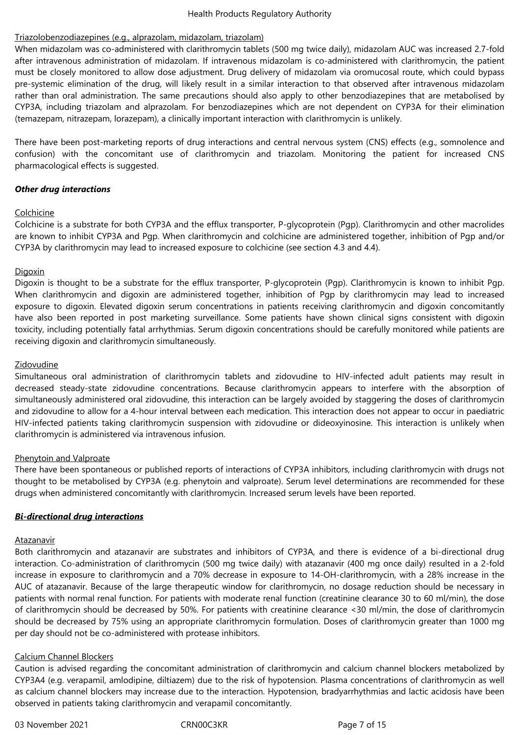### Triazolobenzodiazepines (e.g., alprazolam, midazolam, triazolam)

When midazolam was co-administered with clarithromycin tablets (500 mg twice daily), midazolam AUC was increased 2.7-fold after intravenous administration of midazolam. If intravenous midazolam is co-administered with clarithromycin, the patient must be closely monitored to allow dose adjustment. Drug delivery of midazolam via oromucosal route, which could bypass pre-systemic elimination of the drug, will likely result in a similar interaction to that observed after intravenous midazolam rather than oral administration. The same precautions should also apply to other benzodiazepines that are metabolised by CYP3A, including triazolam and alprazolam. For benzodiazepines which are not dependent on CYP3A for their elimination (temazepam, nitrazepam, lorazepam), a clinically important interaction with clarithromycin is unlikely.

There have been post-marketing reports of drug interactions and central nervous system (CNS) effects (e.g., somnolence and confusion) with the concomitant use of clarithromycin and triazolam. Monitoring the patient for increased CNS pharmacological effects is suggested.

### *Other drug interactions*

### Colchicine

Colchicine is a substrate for both CYP3A and the efflux transporter, P-glycoprotein (Pgp). Clarithromycin and other macrolides are known to inhibit CYP3A and Pgp. When clarithromycin and colchicine are administered together, inhibition of Pgp and/or CYP3A by clarithromycin,may lead to increased exposure to colchicine (see section 4.3 and 4.4).

### **Digoxin**

Digoxin is thought to be a substrate for the efflux transporter, P-glycoprotein (Pgp). Clarithromycin is known to inhibit Pgp. When clarithromycin and digoxin are administered together, inhibition of Pgp by clarithromycin may lead to increased exposure to digoxin. Elevated digoxin serum concentrations in patients receiving clarithromycin and digoxin concomitantly have also been reported in post marketing surveillance. Some patients have shown clinical signs consistent with digoxin toxicity, including potentially fatal arrhythmias. Serum digoxin concentrations should be carefully monitored while patients are receiving digoxin and clarithromycin simultaneously.

### Zidovudine

Simultaneous oral administration of clarithromycin tablets and zidovudine to HIV-infected adult patients may result in decreased steady-state zidovudine concentrations. Because clarithromycin appears to interfere with the absorption of simultaneously administered oral zidovudine, this interaction can be largely avoided by staggering the doses of clarithromycin and zidovudine to allow for a 4-hour interval between each medication. This interaction does not appear to occur in paediatric HIV-infected patients taking clarithromycin suspension with zidovudine or dideoxyinosine. This interaction is unlikely when clarithromycin is administered via intravenous infusion.

#### Phenytoin and Valproate

There have been spontaneous or published reports of interactions of CYP3A inhibitors, including clarithromycin with drugs not thought to be metabolised by CYP3A (e.g. phenytoin and valproate). Serum level determinations are recommended for these drugs, when, administered, concomitantly, with clarithromycin. Increased serum, levels, have, been, reported.

### *Bi-directional drug interactions*

#### Atazanavir

Both clarithromycin and atazanavir are substrates and inhibitors of CYP3A, and there is evidence of a bi-directional drug interaction. Co-administration of clarithromycin (500 mg twice daily) with atazanavir (400 mg once daily) resulted in a 2-fold increase in exposure to clarithromycin and a 70% decrease in exposure to 14-OH-clarithromycin, with a 28% increase in the AUC of atazanavir. Because of the large therapeutic window for clarithromycin, no dosage reduction should be necessary in patients with normal renal function. For patients with moderate renal function (creatinine clearance 30 to 60 ml/min), the dose of clarithromycin should be decreased by 50%. For patients with creatinine clearance <30 ml/min, the dose of clarithromycin should be decreased by 75% using an appropriate clarithromycin formulation. Doses of clarithromycin greater than 1000 mg per day should not be co-administered with protease inhibitors.

#### Calcium Channel Blockers

Caution is advised regarding the concomitant administration of clarithromycin and calcium channel blockers metabolized by CYP3A4 (e.g. verapamil, amlodipine, diltiazem) due to the risk of hypotension. Plasma concentrations of clarithromycin as well as calcium channel blockers may increase due to the interaction. Hypotension, bradyarrhythmias and lactic acidosis have been observed in patients taking clarithromycin and verapamil concomitantly.

03 November 2021 CRN00C3KR Page 7 of 15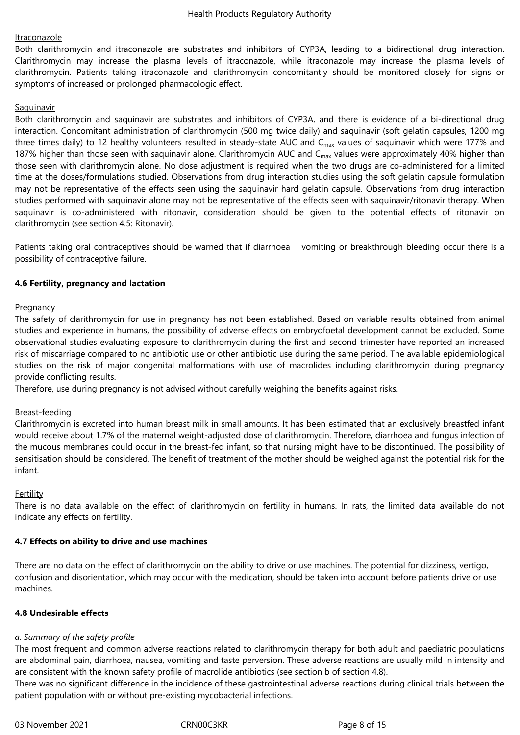### Itraconazole

Both clarithromycin and itraconazole are substrates and inhibitors of CYP3A, leading to a bidirectional drug interaction. Clarithromycin may increase the plasma levels of itraconazole, while itraconazole may increase the plasma levels of clarithromycin. Patients taking itraconazole and clarithromycin concomitantly should be monitored closely for signs or symptoms of increased or prolonged pharmacologic effect.

### **Saquinavir**

Both clarithromycin and saquinavir are substrates and inhibitors of CYP3A, and there is evidence of a bi-directional drug interaction. Concomitant administration of clarithromycin (500 mg twice daily) and saquinavir (soft gelatin capsules, 1200 mg three times daily) to 12 healthy volunteers resulted in steady-state AUC and C<sub>max</sub> values of saquinavir which were 177% and 187% higher than those seen with saquinavir alone. Clarithromycin AUC and C $_{max}$  values were approximately 40% higher than those seen with clarithromycin alone. No dose adjustment is required when the two drugs are co-administered for a limited time at the doses/formulations studied. Observations from drug interaction studies using the soft gelatin capsule formulation may not be representative of the effects seen using the saquinavir hard gelatin capsule. Observations from drug interaction studies performed with saquinavir alone may not be representative of the effects seen with saquinavir/ritonavir therapy. When saquinavir is co-administered with ritonavir, consideration should be given to the potential effects of ritonavir on clarithromycin (see section 4.5: Ritonavir).

Patients taking oral contraceptives should be warned that if diarrhoea vomiting or breakthrough bleeding occur there is a possibility of contraceptive failure.

### **4.6 Fertility, pregnancy and lactation**

### **Pregnancy**

The safety of clarithromycin for use in pregnancy has not been established. Based on variable results obtained from animal studies and experience in humans, the possibility of adverse effects on embryofoetal development cannot be excluded. Some observational studies evaluating exposure to clarithromycin during the first and second trimester have reported an increased risk of miscarriage compared to no antibiotic use or other antibiotic use during the same period. The available epidemiological studies on the risk of major congenital malformations with use of macrolides including clarithromycin during pregnancy provide conflicting results.

Therefore, use during pregnancy is not advised without carefully weighing the benefits against risks.

### Breast-feeding

Clarithromycin is excreted into human breast milk in small amounts. It has been estimated that an exclusively breastfed infant would receive about 1.7% of the maternal weight-adjusted dose of clarithromycin. Therefore, diarrhoea and fungus infection of the mucous membranes could occur in the breast-fed infant, so that nursing might have to be discontinued. The possibility of sensitisation should be considered. The benefit of treatment of the mother should be weighed against the potential risk for the infant.

### Fertility

There is no data available on the effect of clarithromycin on fertility in humans. In rats, the limited data available do not indicate any effects on fertility.

### **4.7 Effects on ability to drive and use machines**

There are no data on the effect of clarithromycin on the ability to drive or use machines. The potential for dizziness, vertigo, confusion and disorientation, which may occur with the medication, should be taken into account before patients drive or use machines.

### **4.8 Undesirable effects**

# *a. Summary of the safety profile*

The most frequent and common adverse reactions related to clarithromycin therapy for both adult and paediatric populations are abdominal pain, diarrhoea, nausea, vomiting and taste perversion. These adverse reactions are usually mild in intensity and are consistent with the known safety profile of macrolide antibiotics (see section b of section 4.8).

There was no significant difference in the incidence of these gastrointestinal adverse reactions during clinical trials between the patient population with or without pre-existing mycobacterial infections.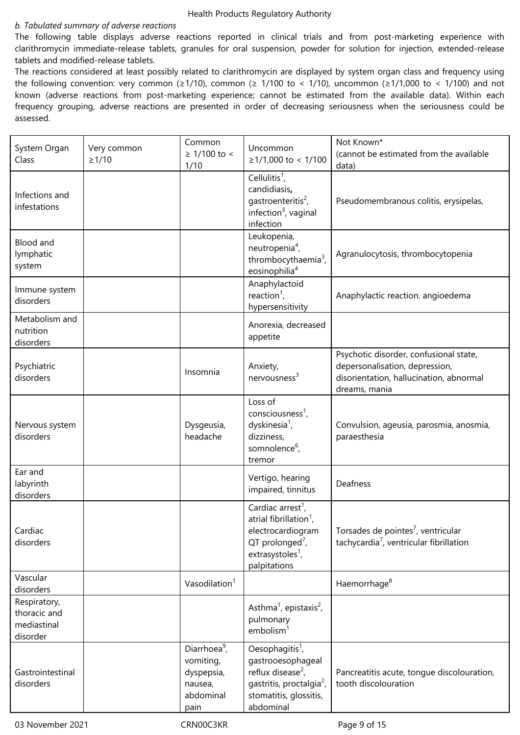#### *b. Tabulated summary of adverse reactions*

The following table displays adverse reactions reported in clinical trials and from post-marketing experience with clarithromycin immediate-release tablets, granules for oral suspension, powder for solution for injection, extended-release tablets and modified-release tablets.

The reactions considered at least possibly related to clarithromycin are displayed by system organ class and frequency using the following convention: very common ( $\geq 1/10$ ), common ( $\geq 1/100$  to < 1/10), uncommon ( $\geq 1/1,000$  to < 1/100) and not known (adverse reactions from post-marketing experience; cannot be estimated from the available data). Within each frequency grouping, adverse reactions are presented in order of decreasing seriousness when the seriousness could be assessed.

| System Organ                                            | Very common                           | Common                                                                              | Uncommon                                                                                                                                                                  | Not Known*                                                                                                                           |  |
|---------------------------------------------------------|---------------------------------------|-------------------------------------------------------------------------------------|---------------------------------------------------------------------------------------------------------------------------------------------------------------------------|--------------------------------------------------------------------------------------------------------------------------------------|--|
| Class                                                   | $≥ 1/100$ to <<br>$\geq 1/10$<br>1/10 |                                                                                     | $≥1/1,000$ to < 1/100                                                                                                                                                     | (cannot be estimated from the available<br>data)                                                                                     |  |
| Infections and<br>infestations                          |                                       |                                                                                     | Cellulitis <sup>1</sup> ,<br>candidiasis,<br>gastroenteritis <sup>2</sup> ,<br>infection <sup>3</sup> , vaginal<br>infection                                              | Pseudomembranous colitis, erysipelas,                                                                                                |  |
| Blood and<br>lymphatic<br>system                        |                                       |                                                                                     | Leukopenia,<br>neutropenia <sup>4</sup> ,<br>thrombocythaemia <sup>3</sup> ,<br>eosinophilia <sup>4</sup>                                                                 | Agranulocytosis, thrombocytopenia                                                                                                    |  |
| Immune system<br>disorders                              |                                       |                                                                                     | Anaphylactoid<br>reaction <sup>1</sup> ,<br>hypersensitivity                                                                                                              | Anaphylactic reaction. angioedema                                                                                                    |  |
| Metabolism and<br>nutrition<br>disorders                |                                       |                                                                                     | Anorexia, decreased<br>appetite                                                                                                                                           |                                                                                                                                      |  |
| Psychiatric<br>disorders                                |                                       | Insomnia                                                                            | Anxiety,<br>$n$ ervousness <sup>3</sup>                                                                                                                                   | Psychotic disorder, confusional state,<br>depersonalisation, depression,<br>disorientation, hallucination, abnormal<br>dreams, mania |  |
| Nervous system<br>disorders                             |                                       | Dysgeusia,<br>headache                                                              | Loss of<br>$consciousness1$ ,<br>dyskinesia <sup>1</sup> ,<br>dizziness,<br>somnolence <sup>6</sup> ,<br>tremor                                                           | Convulsion, ageusia, parosmia, anosmia,<br>paraesthesia                                                                              |  |
| Ear and<br>labyrinth<br>disorders                       |                                       |                                                                                     | Vertigo, hearing<br>impaired, tinnitus                                                                                                                                    | Deafness                                                                                                                             |  |
| Cardiac<br>disorders                                    |                                       |                                                                                     | Cardiac arrest <sup>1</sup> ,<br>atrial fibrillation <sup>1</sup> ,<br>electrocardiogram<br>$QT$ prolonged <sup>7</sup> ,<br>extrasystoles <sup>1</sup> ,<br>palpitations | Torsades de pointes <sup>7</sup> , ventricular<br>tachycardia <sup>7</sup> , ventricular fibrillation                                |  |
| Vascular<br>disorders                                   |                                       | Vasodilation <sup>1</sup>                                                           |                                                                                                                                                                           | Haemorrhage <sup>8</sup>                                                                                                             |  |
| Respiratory,<br>thoracic and<br>mediastinal<br>disorder |                                       |                                                                                     | Asthma <sup>1</sup> , epistaxis <sup>2</sup> ,<br>pulmonary<br>embolism <sup>1</sup>                                                                                      |                                                                                                                                      |  |
| Gastrointestinal<br>disorders                           |                                       | Diarrhoea <sup>9</sup> ,<br>vomiting,<br>dyspepsia,<br>nausea,<br>abdominal<br>pain | Oesophagitis <sup>1</sup> ,<br>gastrooesophageal<br>reflux disease <sup>2</sup> ,<br>qastritis, proctalgia <sup>2</sup> ,<br>stomatitis, glossitis,<br>abdominal          | Pancreatitis acute, tongue discolouration,<br>tooth discolouration                                                                   |  |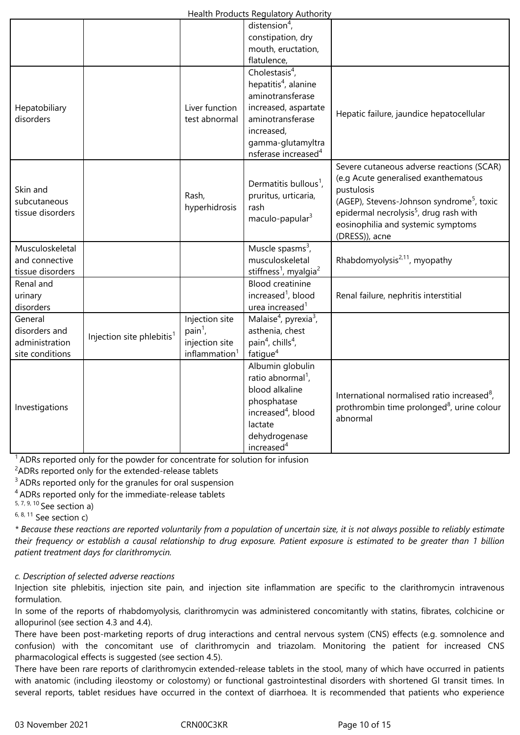|                                                               |                                       |                                                                            | distension $4$ ,                                                                                                                                                           |                                                                                                                                                                                                                                                                        |
|---------------------------------------------------------------|---------------------------------------|----------------------------------------------------------------------------|----------------------------------------------------------------------------------------------------------------------------------------------------------------------------|------------------------------------------------------------------------------------------------------------------------------------------------------------------------------------------------------------------------------------------------------------------------|
|                                                               |                                       |                                                                            | constipation, dry                                                                                                                                                          |                                                                                                                                                                                                                                                                        |
|                                                               |                                       |                                                                            | mouth, eructation,                                                                                                                                                         |                                                                                                                                                                                                                                                                        |
|                                                               |                                       |                                                                            | flatulence,                                                                                                                                                                |                                                                                                                                                                                                                                                                        |
| Hepatobiliary<br>disorders                                    |                                       | Liver function<br>test abnormal                                            | Cholestasis $4$ ,<br>hepatitis <sup>4</sup> , alanine<br>aminotransferase<br>increased, aspartate<br>aminotransferase<br>increased,                                        | Hepatic failure, jaundice hepatocellular                                                                                                                                                                                                                               |
|                                                               |                                       |                                                                            | gamma-glutamyltra<br>nsferase increased <sup>4</sup>                                                                                                                       |                                                                                                                                                                                                                                                                        |
| Skin and<br>subcutaneous<br>tissue disorders                  |                                       | Rash,<br>hyperhidrosis                                                     | Dermatitis bullous <sup>1</sup> ,<br>pruritus, urticaria,<br>rash<br>maculo-papular <sup>3</sup>                                                                           | Severe cutaneous adverse reactions (SCAR)<br>(e.g Acute generalised exanthematous<br>pustulosis<br>(AGEP), Stevens-Johnson syndrome <sup>5</sup> , toxic<br>epidermal necrolysis <sup>5</sup> , drug rash with<br>eosinophilia and systemic symptoms<br>(DRESS)), acne |
| Musculoskeletal<br>and connective<br>tissue disorders         |                                       |                                                                            | Muscle spasms <sup>3</sup> ,<br>musculoskeletal<br>stiffness <sup>1</sup> , myalgia <sup>2</sup>                                                                           | Rhabdomyolysis <sup>2,11</sup> , myopathy                                                                                                                                                                                                                              |
| Renal and<br>urinary<br>disorders                             |                                       |                                                                            | <b>Blood creatinine</b><br>increased <sup>1</sup> , blood<br>urea increased <sup>1</sup>                                                                                   | Renal failure, nephritis interstitial                                                                                                                                                                                                                                  |
| General<br>disorders and<br>administration<br>site conditions | Injection site phlebitis <sup>1</sup> | Injection site<br>$pain1$ ,<br>injection site<br>inflammation <sup>1</sup> | Malaise <sup>4</sup> , pyrexia <sup>3</sup> ,<br>asthenia, chest<br>pain <sup>4</sup> , chills <sup>4</sup> ,<br>fatigue <sup>4</sup>                                      |                                                                                                                                                                                                                                                                        |
| Investigations                                                |                                       |                                                                            | Albumin globulin<br>ratio abnormal <sup>1</sup> ,<br>blood alkaline<br>phosphatase<br>increased <sup>4</sup> , blood<br>lactate<br>dehydrogenase<br>increased <sup>4</sup> | International normalised ratio increased <sup>8</sup> ,<br>prothrombin time prolonged <sup>8</sup> , urine colour<br>abnormal                                                                                                                                          |

 $1$  ADRs reported only for the powder for concentrate for solution for infusion

 $2$ ADRs reported only for the extended-release tablets

<sup>3</sup> ADRs reported only for the granules for oral suspension

<sup>4</sup> ADRs reported only for the immediate-release tablets

 $5, 7, 9, 10$  See section a)

 $6, 8, 11$  See section c)

\* Because these reactions are reported voluntarily from a population of uncertain size, it is not always possible to reliably estimate their frequency or establish a causal relationship to drug exposure. Patient exposure is estimated to be greater than 1 billion *patient treatment days for clarithromycin.*

### *c. Description of selected adverse reactions*

Injection site phlebitis, injection site pain, and injection site inflammation are specific to the clarithromycin intravenous formulation.

In some of the reports of rhabdomyolysis, clarithromycin was administered concomitantly with statins, fibrates, colchicine or allopurinol (see section 4.3 and 4.4).

There have been post-marketing reports of drug interactions and central nervous system (CNS) effects (e.g. somnolence and confusion) with the concomitant use of clarithromycin and triazolam. Monitoring the patient for increased CNS pharmacological effects is suggested (see section 4.5).

There have been rare reports of clarithromycin extended-release tablets in the stool, many of which have occurred in patients with anatomic (including ileostomy or colostomy) or functional gastrointestinal disorders with shortened GI transit times. In several reports, tablet residues have occurred in the context of diarrhoea. It is recommended that patients who experience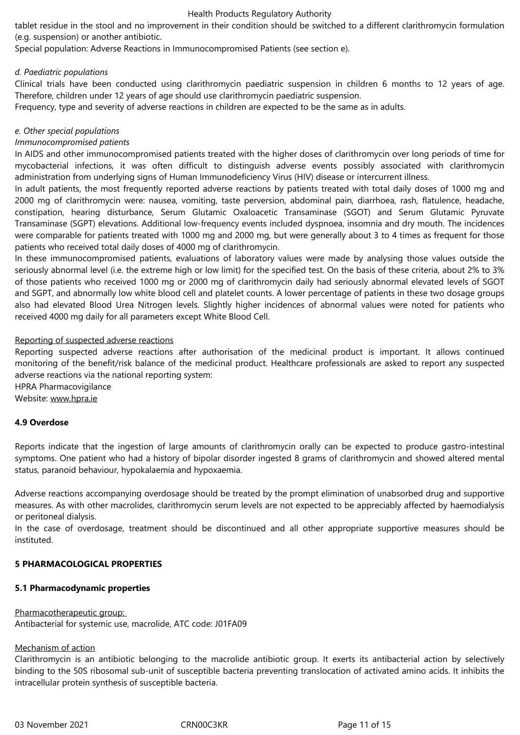tablet residue in the stool and no improvement in their condition should be switched to a different clarithromycin formulation (e.g. suspension) or another antibiotic.

Special, population: Adverse, Reactions, in, Immunocompromised, Patients, (see, section, e).

### *d. Paediatric populations*

Clinical trials have been conducted using clarithromycin paediatric suspension in children 6 months to 12 years of age. Therefore, children under 12 years of age should use clarithromycin paediatric suspension.

Frequency, type and severity of adverse reactions in children are expected to be the same as in adults.

### *e. Other special populations*

### *Immunocompromised patients*

In AIDS and other immunocompromised patients treated with the higher doses of clarithromycin over long periods of time for mycobacterial infections, it was often difficult to distinguish adverse events possibly associated with clarithromycin administration,from,underlying,signs,of,Human,Immunodeficiency,Virus,(HIV),disease,or,intercurrent,illness.

In adult patients, the most frequently reported adverse reactions by patients treated with total daily doses of 1000 mg and 2000 mg of clarithromycin were: nausea, vomiting, taste perversion, abdominal pain, diarrhoea, rash, flatulence, headache, constipation, hearing disturbance, Serum Glutamic Oxaloacetic Transaminase (SGOT) and Serum Glutamic Pyruvate Transaminase (SGPT) elevations. Additional low-frequency events included dyspnoea, insomnia and dry mouth. The incidences were comparable for patients treated with 1000 mg and 2000 mg, but were generally about 3 to 4 times as frequent for those patients, who received total daily doses of 4000 mg of clarithromycin.

In these immunocompromised patients, evaluations of laboratory values were made by analysing those values outside the seriously abnormal level (i.e. the extreme high or low limit) for the specified test. On the basis of these criteria, about 2% to 3% of those patients who received 1000 mg or 2000 mg of clarithromycin daily had seriously abnormal elevated levels of SGOT and SGPT, and abnormally low white blood cell and platelet counts. A lower percentage of patients in these two dosage groups also had elevated Blood Urea Nitrogen levels. Slightly higher incidences of abnormal values were noted for patients who received,4000,mg,daily, for all parameters except White Blood Cell.

#### Reporting of suspected adverse reactions

Reporting suspected adverse reactions after authorisation of the medicinal product is important. It allows continued monitoring of the benefit/risk balance of the medicinal product. Healthcare professionals are asked to report any suspected adverse reactions via the national reporting system:

HPRA Pharmacovigilance Website: www.hpra.ie

### **4.9 Overdose**

Reports indicate that the ingestion of large amounts of clarithromycin orally can be expected to produce gastro-intestinal symptoms. One patient who had a history of bipolar disorder ingested 8 grams of clarithromycin and showed altered mental status, paranoid behaviour, hypokalaemia and hypoxaemia.

Adverse reactions accompanying overdosage should be treated by the prompt elimination of unabsorbed drug and supportive measures. As with other macrolides, clarithromycin serum levels are not expected to be appreciably affected by haemodialysis or peritoneal dialysis.

In the case of overdosage, treatment should be discontinued and all other appropriate supportive measures should be instituted.

### **5 PHARMACOLOGICAL PROPERTIES**

#### **5.1 Pharmacodynamic properties**

#### Pharmacotherapeutic group:

Antibacterial for systemic use, macrolide, ATC code: J01FA09

#### Mechanism of action

Clarithromycin is an antibiotic belonging to the macrolide antibiotic group. It exerts its antibacterial action by selectively binding to the 50S ribosomal sub-unit of susceptible bacteria preventing translocation of activated amino acids. It inhibits the intracellular protein synthesis of susceptible bacteria.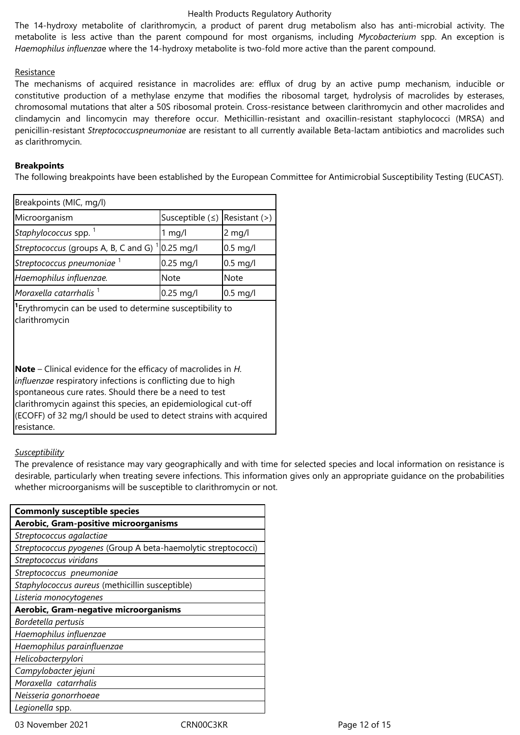The 14-hydroxy metabolite of clarithromycin, a product of parent drug metabolism also has anti-microbial activity. The metabolite is less active than the parent compound for most organisms, including *Mycobacterium* spp. An exception is *Haemophilus influenzae* where the 14-hydroxy metabolite is two-fold more active than the parent compound.

### Resistance

The mechanisms of acquired resistance in macrolides are: efflux of drug by an active pump mechanism, inducible or constitutive production of a methylase enzyme that modifies the ribosomal target, hydrolysis of macrolides by esterases, chromosomal mutations that alter a 50S ribosomal protein. Cross-resistance between clarithromycin and other macrolides and clindamycin and lincomycin may therefore occur. Methicillin-resistant and oxacillin-resistant staphylococci (MRSA) and penicillin-resistant *Streptococcuspneumoniae* are resistant to all currently available Beta-lactam antibiotics and macrolides such as clarithromycin.

### **Breakpoints**

The following breakpoints have been established by the European Committee for Antimicrobial Susceptibility Testing (EUCAST).

| Breakpoints (MIC, mg/l)                                                                                                                                                                                                                                              |                 |                 |  |  |  |  |
|----------------------------------------------------------------------------------------------------------------------------------------------------------------------------------------------------------------------------------------------------------------------|-----------------|-----------------|--|--|--|--|
| Microorganism                                                                                                                                                                                                                                                        | Susceptible $($ | $Resistant$ (>) |  |  |  |  |
| Staphylococcus spp. <sup>1</sup>                                                                                                                                                                                                                                     | $1$ mg/l        | 2 mg/l          |  |  |  |  |
| Streptococcus (groups A, B, C and G)                                                                                                                                                                                                                                 | $0.25$ mg/l     | $0.5$ mg/l      |  |  |  |  |
| Streptococcus pneumoniae <sup>1</sup>                                                                                                                                                                                                                                | $0.25$ mg/l     | $0.5$ mg/l      |  |  |  |  |
| Haemophilus influenzae.                                                                                                                                                                                                                                              | <b>Note</b>     | Note            |  |  |  |  |
| Moraxella catarrhalis <sup>1</sup>                                                                                                                                                                                                                                   | $0.25$ mg/l     | $0.5$ mg/l      |  |  |  |  |
| <sup>1</sup> Erythromycin can be used to determine susceptibility to<br>clarithromycin                                                                                                                                                                               |                 |                 |  |  |  |  |
| <b>Note</b> – Clinical evidence for the efficacy of macrolides in $H$ .<br>influenzae respiratory infections is conflicting due to high<br>spontaneous cure rates. Should there be a need to test<br>clarithromycin against this species, an epidemiological cut-off |                 |                 |  |  |  |  |

(ECOFF) of 32 mg/l should be used to detect strains with acquired

### *Susceptibility*

resistance.

The prevalence of resistance may vary geographically and with time for selected species and local information on resistance is desirable, particularly when treating severe infections. This information gives only an appropriate guidance on the probabilities whether microorganisms will be susceptible to clarithromycin or not.

| <b>Commonly susceptible species</b>                           |  |  |  |  |
|---------------------------------------------------------------|--|--|--|--|
| Aerobic, Gram-positive microorganisms                         |  |  |  |  |
| Streptococcus agalactiae                                      |  |  |  |  |
| Streptococcus pyogenes (Group A beta-haemolytic streptococci) |  |  |  |  |
| Streptococcus viridans                                        |  |  |  |  |
| Streptococcus pneumoniae                                      |  |  |  |  |
| Staphylococcus aureus (methicillin susceptible)               |  |  |  |  |
| Listeria monocytogenes                                        |  |  |  |  |
| Aerobic, Gram-negative microorganisms                         |  |  |  |  |
| Bordetella pertusis                                           |  |  |  |  |
| Haemophilus influenzae                                        |  |  |  |  |
| Haemophilus parainfluenzae                                    |  |  |  |  |
| Helicobacterpylori                                            |  |  |  |  |
| Campylobacter jejuni                                          |  |  |  |  |
| Moraxella catarrhalis                                         |  |  |  |  |
| Neisseria gonorrhoeae                                         |  |  |  |  |
| Legionella spp.                                               |  |  |  |  |

03 November 2021 **CRN00C3KR** CRNOOC3KR Page 12 of 15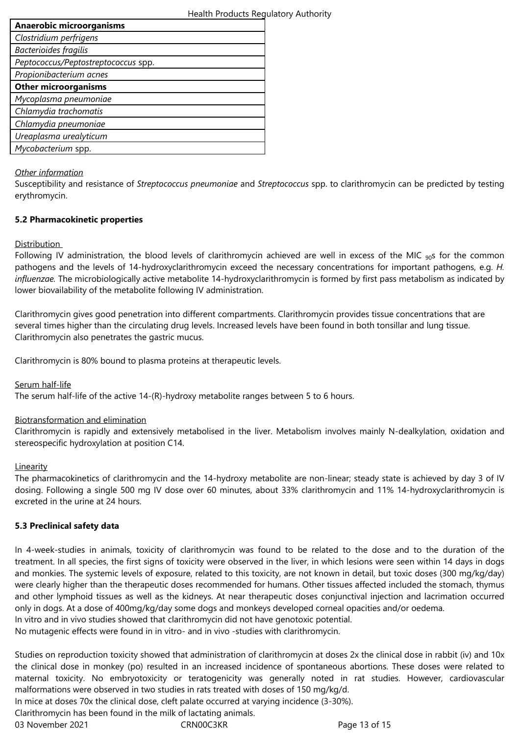| <b>Anaerobic microorganisms</b>     |  |
|-------------------------------------|--|
| Clostridium perfrigens              |  |
| Bacterioides fragilis               |  |
| Peptococcus/Peptostreptococcus spp. |  |
| Propionibacterium acnes             |  |
| <b>Other microorganisms</b>         |  |
| Mycoplasma pneumoniae               |  |
| Chlamydia trachomatis               |  |
| Chlamydia pneumoniae                |  |
| Ureaplasma urealyticum              |  |
| Mycobacterium spp.                  |  |
|                                     |  |

### *Other information*

Susceptibility and resistance of *Streptococcus pneumoniae* and *Streptococcus* spp. to clarithromycin can be predicted by testing erythromycin.

### **5.2 Pharmacokinetic properties**

### **Distribution**

Following IV administration, the blood levels of clarithromycin achieved are well in excess of the MIC  $_{90}$ s for the common pathogens and the levels of 14-hydroxyclarithromycin exceed the necessary concentrations for important pathogens, e.g. *H. influenzae.* The microbiologically active metabolite 14-hydroxyclarithromycin is formed by first pass metabolism as indicated by lower biovailability of the metabolite following IV administration.

Clarithromycin gives good penetration into different compartments. Clarithromycin provides tissue concentrations that are several times higher than the circulating drug levels. Increased levels have been found in both tonsillar and lung tissue. Clarithromycin also penetrates the gastric mucus.

Clarithromycin is 80% bound to plasma proteins at therapeutic levels.

Serum half-life

The serum half-life of the active 14-(R)-hydroxy metabolite ranges between 5 to 6 hours.

#### Biotransformation and elimination

Clarithromycin is rapidly and extensively metabolised in the liver. Metabolism involves mainly N-dealkylation, oxidation and stereospecific hydroxylation at position C14.

#### Linearity

The pharmacokinetics of clarithromycin and the 14-hydroxy metabolite are non-linear; steady state is achieved by day 3 of IV dosing. Following a single 500 mg IV dose over 60 minutes, about 33% clarithromycin and 11% 14-hydroxyclarithromycin is excreted in the urine at 24 hours.

### **5.3 Preclinical safety data**

In 4-week-studies in animals, toxicity of clarithromycin was found to be related to the dose and to the duration of the treatment. In all species, the first signs of toxicity were observed in the liver, in which lesions were seen within 14 days in dogs and monkies. The systemic levels of exposure, related to this toxicity, are not known in detail, but toxic doses (300 mg/kg/day) were clearly higher than the therapeutic doses recommended for humans. Other tissues affected included the stomach, thymus and other lymphoid tissues as well as the kidneys. At near therapeutic doses conjunctival injection and lacrimation occurred only in dogs. At a dose of 400mg/kg/day some dogs and monkeys developed corneal opacities and/or oedema.

In vitro and in vivo studies showed that clarithromycin did not have genotoxic potential.

No mutagenic effects were found in in vitro- and in vivo-studies with clarithromycin.

Studies on reproduction toxicity showed that administration of clarithromycin at doses 2x the clinical dose in rabbit (iv) and 10x the clinical dose in monkey (po) resulted in an increased incidence of spontaneous abortions. These doses were related to maternal toxicity. No embryotoxicity or teratogenicity was generally noted in rat studies. However, cardiovascular malformations were observed in two studies in rats treated with doses of 150 mg/kg/d.

In mice at doses 70x the clinical dose, cleft palate occurred at varying incidence (3-30%).

Clarithromycin has been found in the milk of lactating animals.

03 November 2021 **CRN00C3KR** Page 13 of 15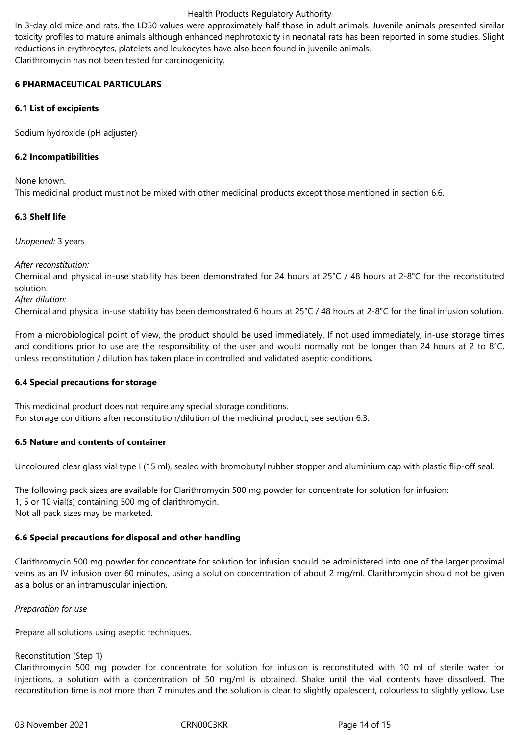In 3-day old mice and rats, the LD50 values were approximately half those in adult animals. Juvenile animals presented similar toxicity profiles to mature animals although enhanced nephrotoxicity in neonatal rats has been reported in some studies. Slight reductions in erythrocytes, platelets and leukocytes have also been found in juvenile animals. Clarithromycin has not been tested for carcinogenicity.

### **6 PHARMACEUTICAL PARTICULARS**

### **6.1 List of excipients**

Sodium hydroxide (pH adjuster)

### **6.2 Incompatibilities**

None known.

This,medicinal,product,must,not,be,mixed,with,other,medicinal,products,except,those,mentioned,in,section,6.6.

### **6.3 Shelf life**

*Unopened:* 3 years

*After reconstitution:* 

Chemical and physical in-use stability has been demonstrated for 24 hours at 25°C / 48 hours at 2-8°C for the reconstituted solution.

*After dilution:*

Chemical and physical in-use stability has been demonstrated 6 hours at  $25^{\circ}C/48$  hours at  $2-8^{\circ}C$  for the final infusion solution.

From a microbiological point of view, the product should be used immediately. If not used immediately, in-use storage times and conditions prior to use are the responsibility of the user and would normally not be longer than 24 hours at 2 to 8°C, unless reconstitution / dilution has taken place in controlled and validated aseptic conditions.

#### **6.4 Special precautions for storage**

This, medicinal, product does, not require, any special storage conditions. For storage conditions after reconstitution/dilution of the medicinal product, see section 6.3.

#### **6.5 Nature and contents of container**

Uncoloured clear glass vial type I (15 ml), sealed with bromobutyl rubber stopper and aluminium cap with plastic flip-off seal.

The following pack sizes are available for Clarithromycin,500,mg,powder,for,concentrate,for,solution,for,infusion: 1, 5 or 10 vial(s) containing 500 mg of clarithromycin. Not all pack sizes may be marketed.

### **6.6 Special precautions for disposal and other handling**

Clarithromycin 500 mg powder for concentrate for solution for infusion should be administered into one of the larger proximal veins as an IV infusion over 60 minutes, using a solution concentration of about 2 mg/ml. Clarithromycin should not be given as a bolus or an intramuscular injection.

#### *Preparation for use*

# Prepare all solutions using aseptic techniques.

# Reconstitution (Step 1)

Clarithromycin 500 mg powder for concentrate for solution for infusion is reconstituted with 10 ml of sterile water for injections, a solution with a concentration of 50 mg/ml is obtained. Shake until the vial contents have dissolved. The reconstitution time is not more than 7 minutes and the solution is clear to slightly opalescent, colourless to slightly yellow. Use